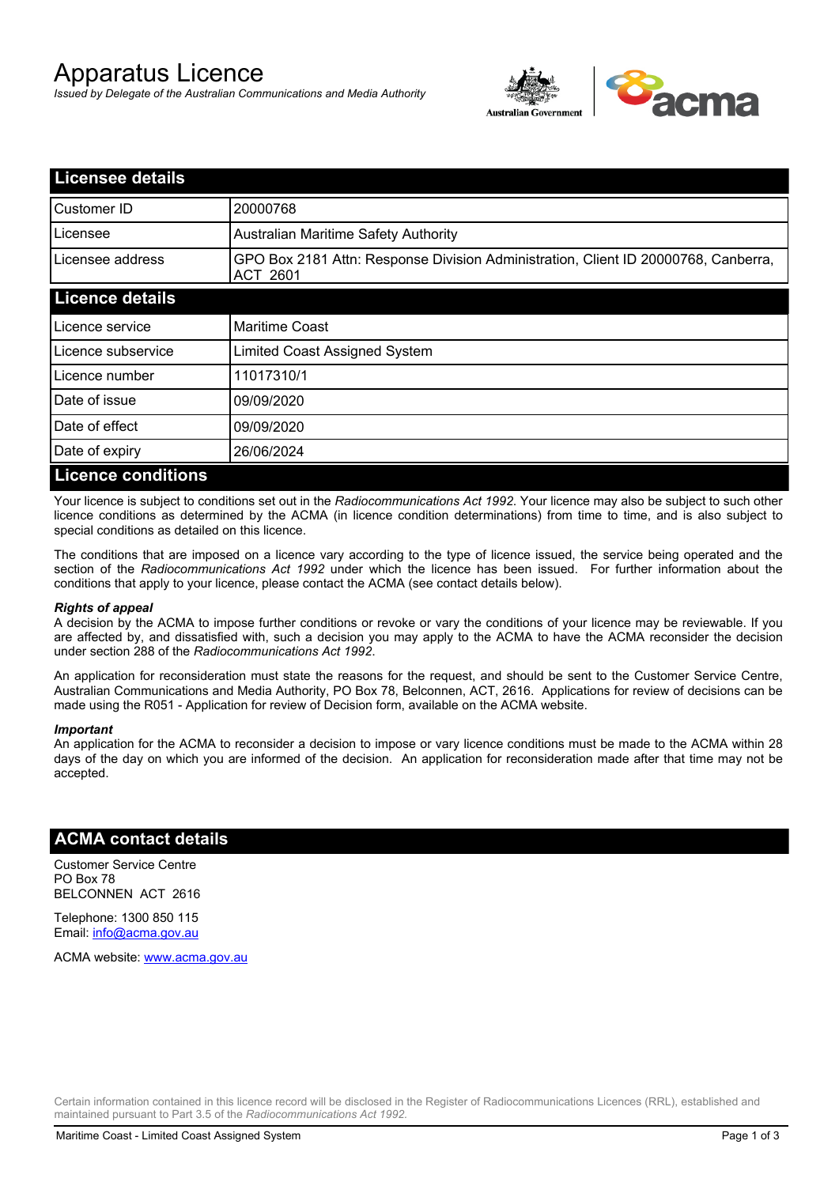# Apparatus Licence

*Issued by Delegate of the Australian Communications and Media Authority*



| <b>Licensee details</b>   |                                                                                                |  |
|---------------------------|------------------------------------------------------------------------------------------------|--|
| Customer ID               | 20000768                                                                                       |  |
| Licensee                  | <b>Australian Maritime Safety Authority</b>                                                    |  |
| Licensee address          | GPO Box 2181 Attn: Response Division Administration, Client ID 20000768, Canberra,<br>ACT 2601 |  |
| <b>Licence details</b>    |                                                                                                |  |
| Licence service           | <b>Maritime Coast</b>                                                                          |  |
| Licence subservice        | Limited Coast Assigned System                                                                  |  |
| Licence number            | 11017310/1                                                                                     |  |
| Date of issue             | 09/09/2020                                                                                     |  |
| Date of effect            | 09/09/2020                                                                                     |  |
| Date of expiry            | 26/06/2024                                                                                     |  |
| <b>Licence conditions</b> |                                                                                                |  |

Your licence is subject to conditions set out in the *Radiocommunications Act 1992*. Your licence may also be subject to such other licence conditions as determined by the ACMA (in licence condition determinations) from time to time, and is also subject to special conditions as detailed on this licence.

The conditions that are imposed on a licence vary according to the type of licence issued, the service being operated and the section of the *Radiocommunications Act 1992* under which the licence has been issued. For further information about the conditions that apply to your licence, please contact the ACMA (see contact details below).

#### *Rights of appeal*

A decision by the ACMA to impose further conditions or revoke or vary the conditions of your licence may be reviewable. If you are affected by, and dissatisfied with, such a decision you may apply to the ACMA to have the ACMA reconsider the decision under section 288 of the *Radiocommunications Act 1992*.

An application for reconsideration must state the reasons for the request, and should be sent to the Customer Service Centre, Australian Communications and Media Authority, PO Box 78, Belconnen, ACT, 2616. Applications for review of decisions can be made using the R051 - Application for review of Decision form, available on the ACMA website.

#### *Important*

An application for the ACMA to reconsider a decision to impose or vary licence conditions must be made to the ACMA within 28 days of the day on which you are informed of the decision. An application for reconsideration made after that time may not be accepted.

### **ACMA contact details**

Customer Service Centre PO Box 78 BELCONNEN ACT 2616

Telephone: 1300 850 115 Email: info@acma.gov.au

ACMA website: www.acma.gov.au

Certain information contained in this licence record will be disclosed in the Register of Radiocommunications Licences (RRL), established and maintained pursuant to Part 3.5 of the *Radiocommunications Act 1992.*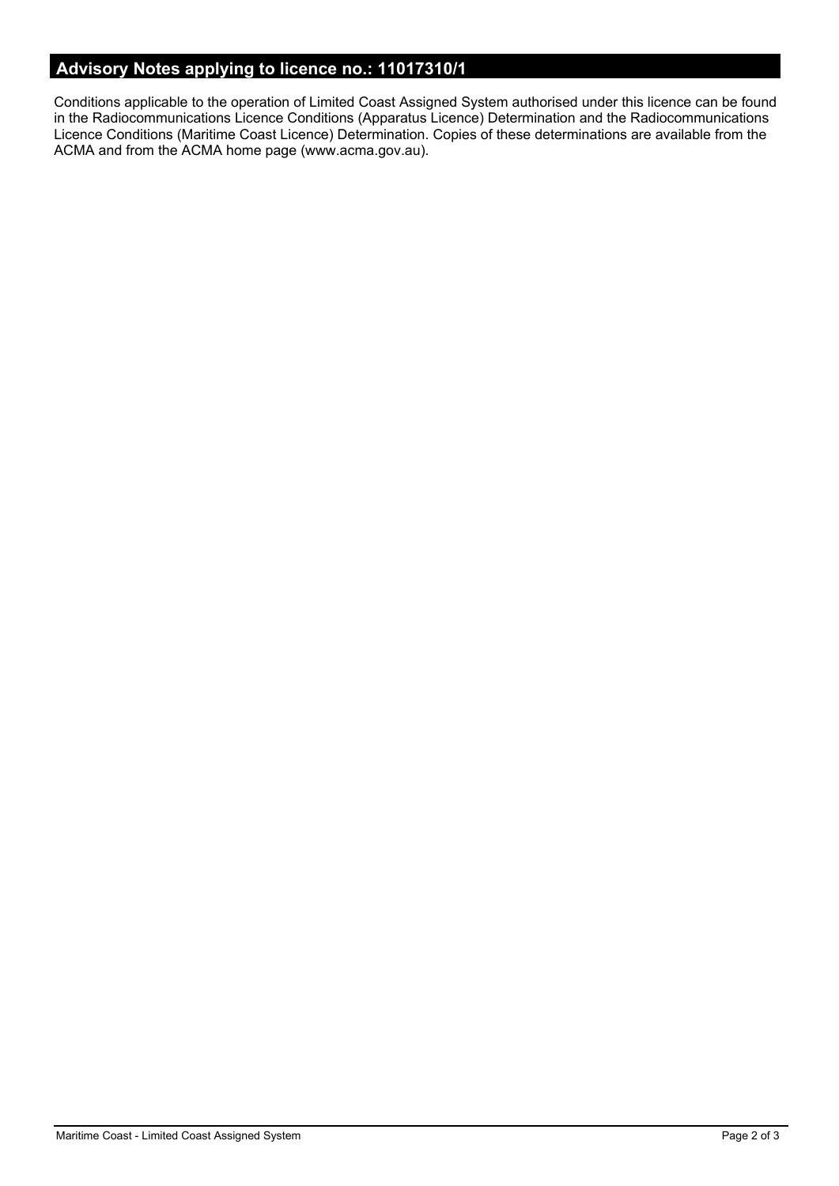# **Advisory Notes applying to licence no.: 11017310/1**

Conditions applicable to the operation of Limited Coast Assigned System authorised under this licence can be found in the Radiocommunications Licence Conditions (Apparatus Licence) Determination and the Radiocommunications Licence Conditions (Maritime Coast Licence) Determination. Copies of these determinations are available from the ACMA and from the ACMA home page (www.acma.gov.au).